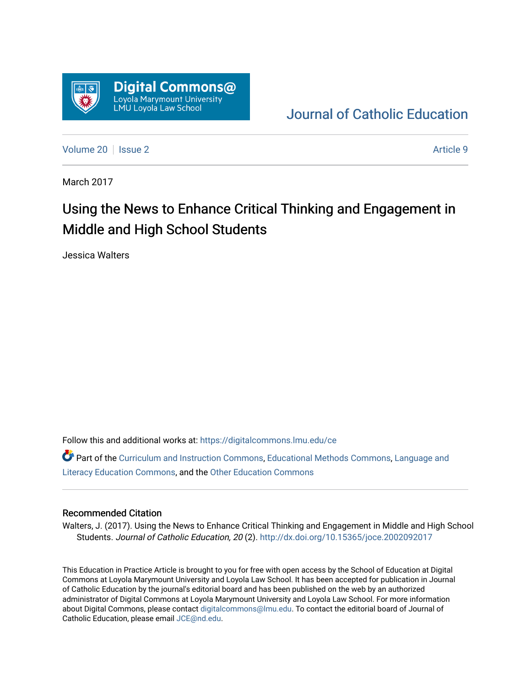

## [Journal of Catholic Education](https://digitalcommons.lmu.edu/ce)

[Volume 20](https://digitalcommons.lmu.edu/ce/vol20) | [Issue 2](https://digitalcommons.lmu.edu/ce/vol20/iss2) Article 9

March 2017

# Using the News to Enhance Critical Thinking and Engagement in Middle and High School Students

Jessica Walters

Follow this and additional works at: [https://digitalcommons.lmu.edu/ce](https://digitalcommons.lmu.edu/ce?utm_source=digitalcommons.lmu.edu%2Fce%2Fvol20%2Fiss2%2F9&utm_medium=PDF&utm_campaign=PDFCoverPages)

Part of the [Curriculum and Instruction Commons,](https://network.bepress.com/hgg/discipline/786?utm_source=digitalcommons.lmu.edu%2Fce%2Fvol20%2Fiss2%2F9&utm_medium=PDF&utm_campaign=PDFCoverPages) [Educational Methods Commons,](https://network.bepress.com/hgg/discipline/1227?utm_source=digitalcommons.lmu.edu%2Fce%2Fvol20%2Fiss2%2F9&utm_medium=PDF&utm_campaign=PDFCoverPages) [Language and](https://network.bepress.com/hgg/discipline/1380?utm_source=digitalcommons.lmu.edu%2Fce%2Fvol20%2Fiss2%2F9&utm_medium=PDF&utm_campaign=PDFCoverPages) [Literacy Education Commons](https://network.bepress.com/hgg/discipline/1380?utm_source=digitalcommons.lmu.edu%2Fce%2Fvol20%2Fiss2%2F9&utm_medium=PDF&utm_campaign=PDFCoverPages), and the [Other Education Commons](https://network.bepress.com/hgg/discipline/811?utm_source=digitalcommons.lmu.edu%2Fce%2Fvol20%2Fiss2%2F9&utm_medium=PDF&utm_campaign=PDFCoverPages)

#### Recommended Citation

Walters, J. (2017). Using the News to Enhance Critical Thinking and Engagement in Middle and High School Students. Journal of Catholic Education, 20 (2). <http://dx.doi.org/10.15365/joce.2002092017>

This Education in Practice Article is brought to you for free with open access by the School of Education at Digital Commons at Loyola Marymount University and Loyola Law School. It has been accepted for publication in Journal of Catholic Education by the journal's editorial board and has been published on the web by an authorized administrator of Digital Commons at Loyola Marymount University and Loyola Law School. For more information about Digital Commons, please contact [digitalcommons@lmu.edu](mailto:digitalcommons@lmu.edu). To contact the editorial board of Journal of Catholic Education, please email [JCE@nd.edu.](mailto:JCE@nd.edu)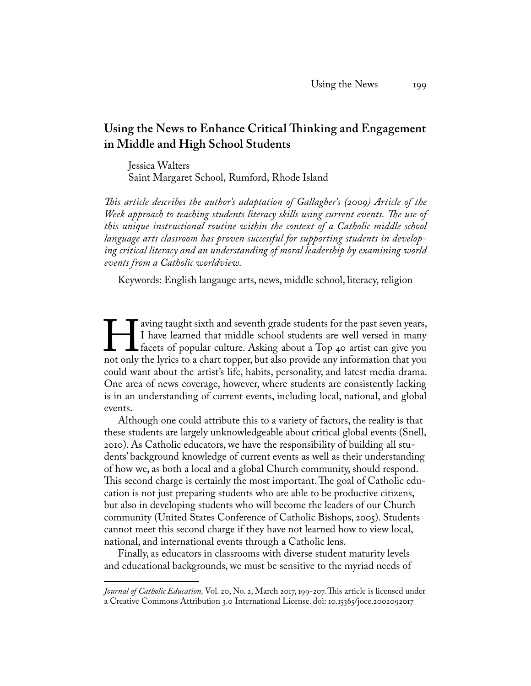### **Using the News to Enhance Critical Thinking and Engagement in Middle and High School Students**

Jessica Walters Saint Margaret School, Rumford, Rhode Island

*This article describes the author's adaptation of Gallagher's (2009) Article of the Week approach to teaching students literacy skills using current events. The use of this unique instructional routine within the context of a Catholic middle school language arts classroom has proven successful for supporting students in developing critical literacy and an understanding of moral leadership by examining world events from a Catholic worldview.* 

Keywords: English langauge arts, news, middle school, literacy, religion

I aving taught sixth and seventh grade students for the past seven years,<br>I have learned that middle school students are well versed in many<br>facets of popular culture. Asking about a Top 40 artist can give you<br>not only the I have learned that middle school students are well versed in many facets of popular culture. Asking about a Top 40 artist can give you not only the lyrics to a chart topper, but also provide any information that you could want about the artist's life, habits, personality, and latest media drama. One area of news coverage, however, where students are consistently lacking is in an understanding of current events, including local, national, and global events.

Although one could attribute this to a variety of factors, the reality is that these students are largely unknowledgeable about critical global events (Snell, 2010). As Catholic educators, we have the responsibility of building all students' background knowledge of current events as well as their understanding of how we, as both a local and a global Church community, should respond. This second charge is certainly the most important. The goal of Catholic education is not just preparing students who are able to be productive citizens, but also in developing students who will become the leaders of our Church community (United States Conference of Catholic Bishops, 2005). Students cannot meet this second charge if they have not learned how to view local, national, and international events through a Catholic lens.

Finally, as educators in classrooms with diverse student maturity levels and educational backgrounds, we must be sensitive to the myriad needs of

*Journal of Catholic Education,* Vol. 20, No. 2, March 2017, 199-207. This article is licensed under a Creative Commons Attribution 3.0 International License. doi: 10.15365/joce.2002092017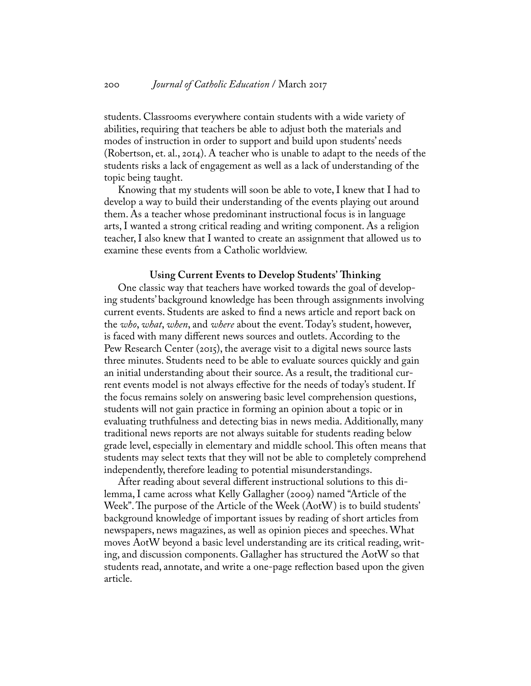students. Classrooms everywhere contain students with a wide variety of abilities, requiring that teachers be able to adjust both the materials and modes of instruction in order to support and build upon students' needs (Robertson, et. al., 2014). A teacher who is unable to adapt to the needs of the students risks a lack of engagement as well as a lack of understanding of the topic being taught.

Knowing that my students will soon be able to vote, I knew that I had to develop a way to build their understanding of the events playing out around them. As a teacher whose predominant instructional focus is in language arts, I wanted a strong critical reading and writing component. As a religion teacher, I also knew that I wanted to create an assignment that allowed us to examine these events from a Catholic worldview.

#### **Using Current Events to Develop Students' Thinking**

One classic way that teachers have worked towards the goal of developing students' background knowledge has been through assignments involving current events. Students are asked to find a news article and report back on the *who*, *what*, *when*, and *where* about the event. Today's student, however, is faced with many different news sources and outlets. According to the Pew Research Center (2015), the average visit to a digital news source lasts three minutes. Students need to be able to evaluate sources quickly and gain an initial understanding about their source. As a result, the traditional current events model is not always effective for the needs of today's student. If the focus remains solely on answering basic level comprehension questions, students will not gain practice in forming an opinion about a topic or in evaluating truthfulness and detecting bias in news media. Additionally, many traditional news reports are not always suitable for students reading below grade level, especially in elementary and middle school. This often means that students may select texts that they will not be able to completely comprehend independently, therefore leading to potential misunderstandings.

After reading about several different instructional solutions to this dilemma, I came across what Kelly Gallagher (2009) named "Article of the Week". The purpose of the Article of the Week (AotW) is to build students' background knowledge of important issues by reading of short articles from newspapers, news magazines, as well as opinion pieces and speeches. What moves AotW beyond a basic level understanding are its critical reading, writing, and discussion components. Gallagher has structured the AotW so that students read, annotate, and write a one-page reflection based upon the given article.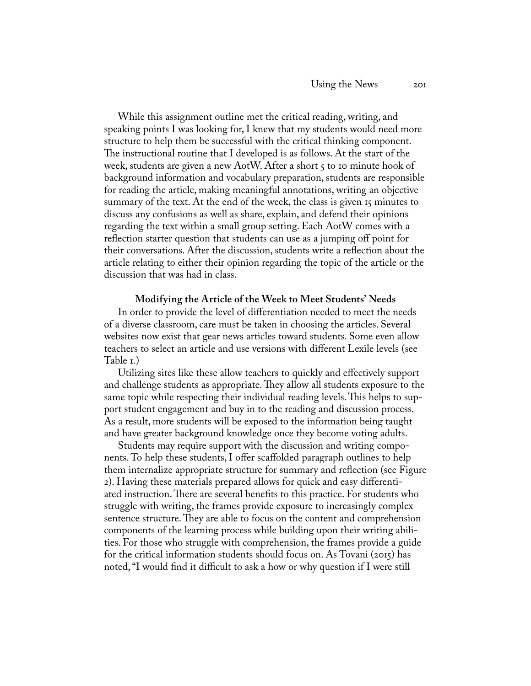While this assignment outline met the critical reading, writing, and speaking points I was looking for, I knew that my students would need more structure to help them be successful with the critical thinking component. The instructional routine that I developed is as follows. At the start of the week, students are given a new AotW. After a short 5 to 10 minute hook of background information and vocabulary preparation, students are responsible for reading the article, making meaningful annotations, writing an objective summary of the text. At the end of the week, the class is given 15 minutes to discuss any confusions as well as share, explain, and defend their opinions regarding the text within a small group setting. Each AotW comes with a reflection starter question that students can use as a jumping off point for their conversations. After the discussion, students write a reflection about the article relating to either their opinion regarding the topic of the article or the discussion that was had in class.

#### **Modifying the Article of the Week to Meet Students' Needs**

In order to provide the level of differentiation needed to meet the needs of a diverse classroom, care must be taken in choosing the articles. Several websites now exist that gear news articles toward students. Some even allow teachers to select an article and use versions with different Lexile levels (see Table 1.)

Utilizing sites like these allow teachers to quickly and effectively support and challenge students as appropriate. They allow all students exposure to the same topic while respecting their individual reading levels. This helps to support student engagement and buy in to the reading and discussion process. As a result, more students will be exposed to the information being taught and have greater background knowledge once they become voting adults.

Students may require support with the discussion and writing components. To help these students, I offer scaffolded paragraph outlines to help them internalize appropriate structure for summary and reflection (see Figure 2). Having these materials prepared allows for quick and easy differentiated instruction. There are several benefits to this practice. For students who struggle with writing, the frames provide exposure to increasingly complex sentence structure. They are able to focus on the content and comprehension components of the learning process while building upon their writing abilities. For those who struggle with comprehension, the frames provide a guide for the critical information students should focus on. As Tovani (2015) has noted, "I would find it difficult to ask a how or why question if I were still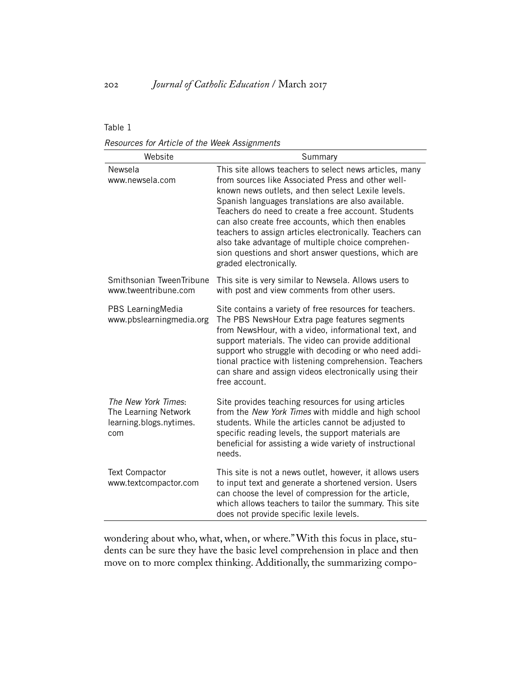#### Table 1

*Resources for Article of the Week Assignments*

| Website                                                                       | Summary                                                                                                                                                                                                                                                                                                                                                                                                                                                                                                                                  |
|-------------------------------------------------------------------------------|------------------------------------------------------------------------------------------------------------------------------------------------------------------------------------------------------------------------------------------------------------------------------------------------------------------------------------------------------------------------------------------------------------------------------------------------------------------------------------------------------------------------------------------|
| Newsela<br>www.newsela.com                                                    | This site allows teachers to select news articles, many<br>from sources like Associated Press and other well-<br>known news outlets, and then select Lexile levels.<br>Spanish languages translations are also available.<br>Teachers do need to create a free account. Students<br>can also create free accounts, which then enables<br>teachers to assign articles electronically. Teachers can<br>also take advantage of multiple choice comprehen-<br>sion questions and short answer questions, which are<br>graded electronically. |
| Smithsonian TweenTribune<br>www.tweentribune.com                              | This site is very similar to Newsela. Allows users to<br>with post and view comments from other users.                                                                                                                                                                                                                                                                                                                                                                                                                                   |
| PBS LearningMedia<br>www.pbslearningmedia.org                                 | Site contains a variety of free resources for teachers.<br>The PBS NewsHour Extra page features segments<br>from NewsHour, with a video, informational text, and<br>support materials. The video can provide additional<br>support who struggle with decoding or who need addi-<br>tional practice with listening comprehension. Teachers<br>can share and assign videos electronically using their<br>free account.                                                                                                                     |
| The New York Times:<br>The Learning Network<br>learning.blogs.nytimes.<br>com | Site provides teaching resources for using articles<br>from the New York Times with middle and high school<br>students. While the articles cannot be adjusted to<br>specific reading levels, the support materials are<br>beneficial for assisting a wide variety of instructional<br>needs.                                                                                                                                                                                                                                             |
| Text Compactor<br>www.textcompactor.com                                       | This site is not a news outlet, however, it allows users<br>to input text and generate a shortened version. Users<br>can choose the level of compression for the article,<br>which allows teachers to tailor the summary. This site<br>does not provide specific lexile levels.                                                                                                                                                                                                                                                          |

wondering about who, what, when, or where." With this focus in place, students can be sure they have the basic level comprehension in place and then move on to more complex thinking. Additionally, the summarizing compo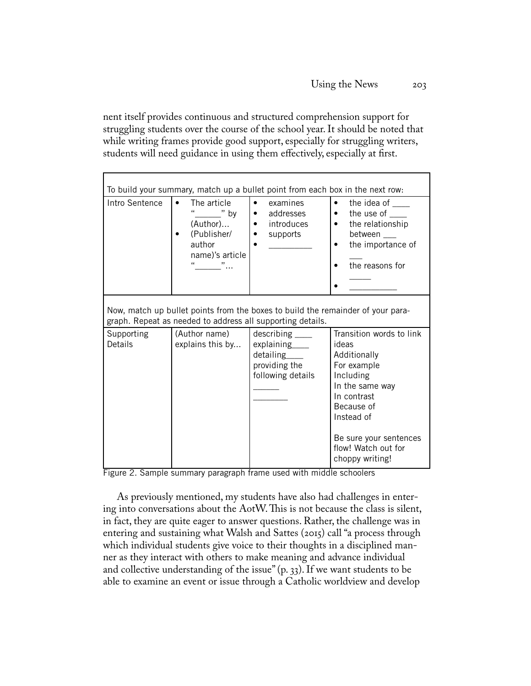nent itself provides continuous and structured comprehension support for struggling students over the course of the school year. It should be noted that while writing frames provide good support, especially for struggling writers, students will need guidance in using them effectively, especially at first.

| To build your summary, match up a bullet point from each box in the next row:                                                                 |                                                                                                                                                                 |                                                                                                       |                                                                                                                                                                   |  |
|-----------------------------------------------------------------------------------------------------------------------------------------------|-----------------------------------------------------------------------------------------------------------------------------------------------------------------|-------------------------------------------------------------------------------------------------------|-------------------------------------------------------------------------------------------------------------------------------------------------------------------|--|
| Intro Sentence                                                                                                                                | The article<br>$\bullet$<br>$\epsilon$<br>$\overline{\phantom{a}}^{\prime\prime}$ by<br>(Author)<br>(Publisher/<br>author<br>name)'s article<br>$\overline{11}$ | $\bullet$<br>examines<br>addresses<br>$\bullet$<br>introduces<br>$\bullet$<br>supports<br>$\bullet$   | the idea of<br>$\bullet$<br>the use of<br>$\bullet$<br>the relationship<br>$\bullet$<br>between<br>the importance of<br>$\bullet$<br>the reasons for<br>$\bullet$ |  |
| Now, match up bullet points from the boxes to build the remainder of your para-<br>graph. Repeat as needed to address all supporting details. |                                                                                                                                                                 |                                                                                                       |                                                                                                                                                                   |  |
| Supporting<br>Details                                                                                                                         | (Author name)<br>explains this by                                                                                                                               | $describing$ <sub>____</sub><br>explaining____<br>detailing____<br>providing the<br>following details | Transition words to link<br>ideas<br>Additionally<br>For example<br>Including<br>In the same way<br>In contrast<br>Because of<br>Instead of                       |  |
|                                                                                                                                               |                                                                                                                                                                 |                                                                                                       | Be sure your sentences<br>flow! Watch out for<br>choppy writing!                                                                                                  |  |

Figure 2. Sample summary paragraph frame used with middle schoolers

As previously mentioned, my students have also had challenges in entering into conversations about the AotW. This is not because the class is silent, in fact, they are quite eager to answer questions. Rather, the challenge was in entering and sustaining what Walsh and Sattes (2015) call "a process through which individual students give voice to their thoughts in a disciplined manner as they interact with others to make meaning and advance individual and collective understanding of the issue" (p. 33). If we want students to be able to examine an event or issue through a Catholic worldview and develop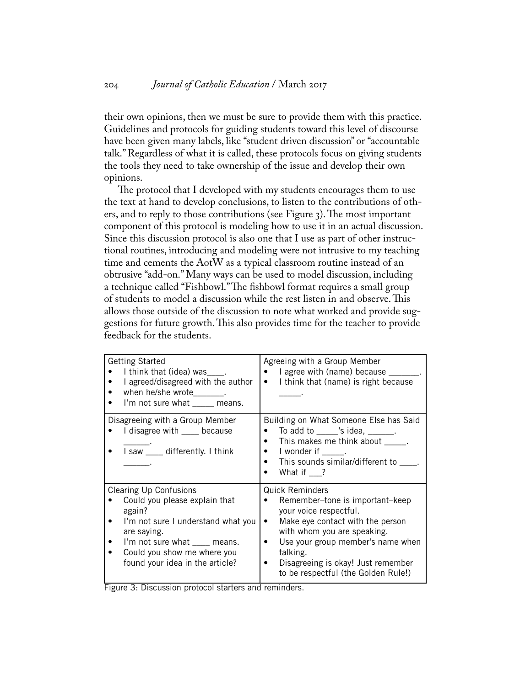their own opinions, then we must be sure to provide them with this practice. Guidelines and protocols for guiding students toward this level of discourse have been given many labels, like "student driven discussion" or "accountable talk." Regardless of what it is called, these protocols focus on giving students the tools they need to take ownership of the issue and develop their own opinions.

The protocol that I developed with my students encourages them to use the text at hand to develop conclusions, to listen to the contributions of others, and to reply to those contributions (see Figure 3). The most important component of this protocol is modeling how to use it in an actual discussion. Since this discussion protocol is also one that I use as part of other instructional routines, introducing and modeling were not intrusive to my teaching time and cements the AotW as a typical classroom routine instead of an obtrusive "add-on." Many ways can be used to model discussion, including a technique called "Fishbowl." The fishbowl format requires a small group of students to model a discussion while the rest listen in and observe. This allows those outside of the discussion to note what worked and provide suggestions for future growth. This also provides time for the teacher to provide feedback for the students.

| <b>Getting Started</b><br>I think that (idea) was .<br>I agreed/disagreed with the author<br>when he/she wrote________.<br>I'm not sure what ____ means.                                                                        | Agreeing with a Group Member<br>I agree with (name) because _______.<br>I think that (name) is right because<br>$\bullet$                                                                                                                                                                                           |
|---------------------------------------------------------------------------------------------------------------------------------------------------------------------------------------------------------------------------------|---------------------------------------------------------------------------------------------------------------------------------------------------------------------------------------------------------------------------------------------------------------------------------------------------------------------|
| Disagreeing with a Group Member<br>I disagree with ____ because<br>I saw ____ differently. I think                                                                                                                              | Building on What Someone Else has Said<br>To add to ______ 's idea, _______.<br>This makes me think about _____.<br>$\bullet$<br>I wonder if Theory<br>This sounds similar/different to .<br>What if ?                                                                                                              |
| <b>Clearing Up Confusions</b><br>Could you please explain that<br>again?<br>I'm not sure I understand what you<br>are saying.<br>I'm not sure what ___ means.<br>Could you show me where you<br>found your idea in the article? | <b>Quick Reminders</b><br>Remember-tone is important-keep<br>$\bullet$<br>your voice respectful.<br>Make eye contact with the person<br>$\bullet$<br>with whom you are speaking.<br>Use your group member's name when<br>٠<br>talking.<br>Disagreeing is okay! Just remember<br>to be respectful (the Golden Rule!) |

Figure 3: Discussion protocol starters and reminders.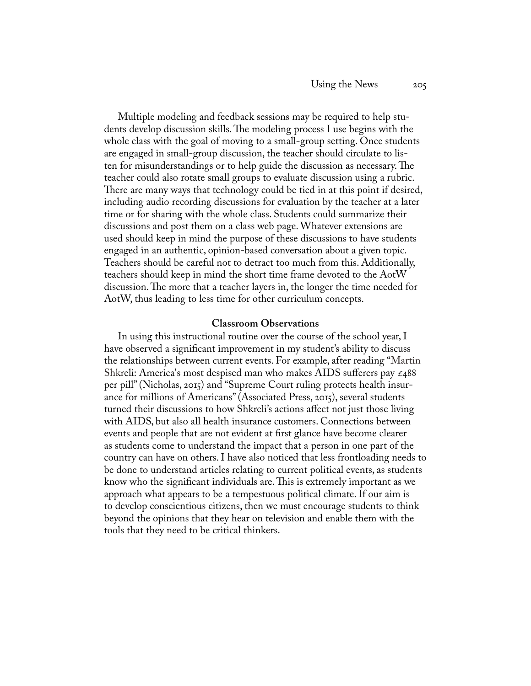Multiple modeling and feedback sessions may be required to help students develop discussion skills. The modeling process I use begins with the whole class with the goal of moving to a small-group setting. Once students are engaged in small-group discussion, the teacher should circulate to listen for misunderstandings or to help guide the discussion as necessary. The teacher could also rotate small groups to evaluate discussion using a rubric. There are many ways that technology could be tied in at this point if desired, including audio recording discussions for evaluation by the teacher at a later time or for sharing with the whole class. Students could summarize their discussions and post them on a class web page. Whatever extensions are used should keep in mind the purpose of these discussions to have students engaged in an authentic, opinion-based conversation about a given topic. Teachers should be careful not to detract too much from this. Additionally, teachers should keep in mind the short time frame devoted to the AotW discussion. The more that a teacher layers in, the longer the time needed for AotW, thus leading to less time for other curriculum concepts.

#### **Classroom Observations**

In using this instructional routine over the course of the school year, I have observed a significant improvement in my student's ability to discuss the relationships between current events. For example, after reading "Martin Shkreli: America's most despised man who makes AIDS sufferers pay  $\epsilon_488$ per pill" (Nicholas, 2015) and "Supreme Court ruling protects health insurance for millions of Americans" (Associated Press, 2015), several students turned their discussions to how Shkreli's actions affect not just those living with AIDS, but also all health insurance customers. Connections between events and people that are not evident at first glance have become clearer as students come to understand the impact that a person in one part of the country can have on others. I have also noticed that less frontloading needs to be done to understand articles relating to current political events, as students know who the significant individuals are. This is extremely important as we approach what appears to be a tempestuous political climate. If our aim is to develop conscientious citizens, then we must encourage students to think beyond the opinions that they hear on television and enable them with the tools that they need to be critical thinkers.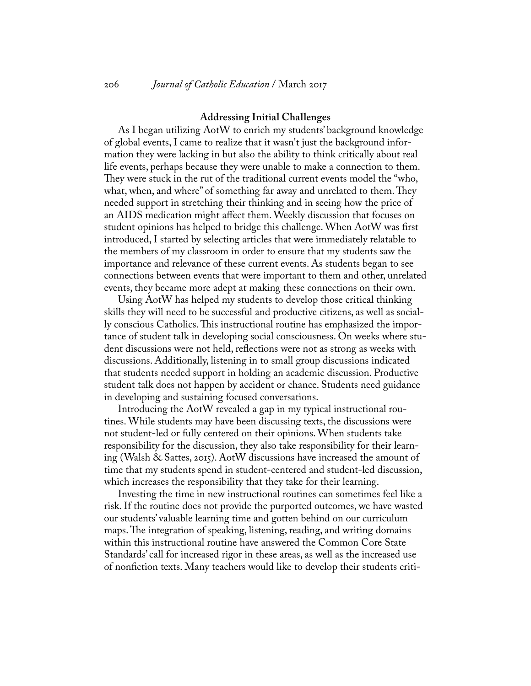#### **Addressing Initial Challenges**

As I began utilizing AotW to enrich my students' background knowledge of global events, I came to realize that it wasn't just the background information they were lacking in but also the ability to think critically about real life events, perhaps because they were unable to make a connection to them. They were stuck in the rut of the traditional current events model the "who, what, when, and where" of something far away and unrelated to them. They needed support in stretching their thinking and in seeing how the price of an AIDS medication might affect them. Weekly discussion that focuses on student opinions has helped to bridge this challenge. When AotW was first introduced, I started by selecting articles that were immediately relatable to the members of my classroom in order to ensure that my students saw the importance and relevance of these current events. As students began to see connections between events that were important to them and other, unrelated events, they became more adept at making these connections on their own.

Using AotW has helped my students to develop those critical thinking skills they will need to be successful and productive citizens, as well as socially conscious Catholics. This instructional routine has emphasized the importance of student talk in developing social consciousness. On weeks where student discussions were not held, reflections were not as strong as weeks with discussions. Additionally, listening in to small group discussions indicated that students needed support in holding an academic discussion. Productive student talk does not happen by accident or chance. Students need guidance in developing and sustaining focused conversations.

Introducing the AotW revealed a gap in my typical instructional routines. While students may have been discussing texts, the discussions were not student-led or fully centered on their opinions. When students take responsibility for the discussion, they also take responsibility for their learning (Walsh & Sattes, 2015). AotW discussions have increased the amount of time that my students spend in student-centered and student-led discussion, which increases the responsibility that they take for their learning.

Investing the time in new instructional routines can sometimes feel like a risk. If the routine does not provide the purported outcomes, we have wasted our students' valuable learning time and gotten behind on our curriculum maps. The integration of speaking, listening, reading, and writing domains within this instructional routine have answered the Common Core State Standards' call for increased rigor in these areas, as well as the increased use of nonfiction texts. Many teachers would like to develop their students criti